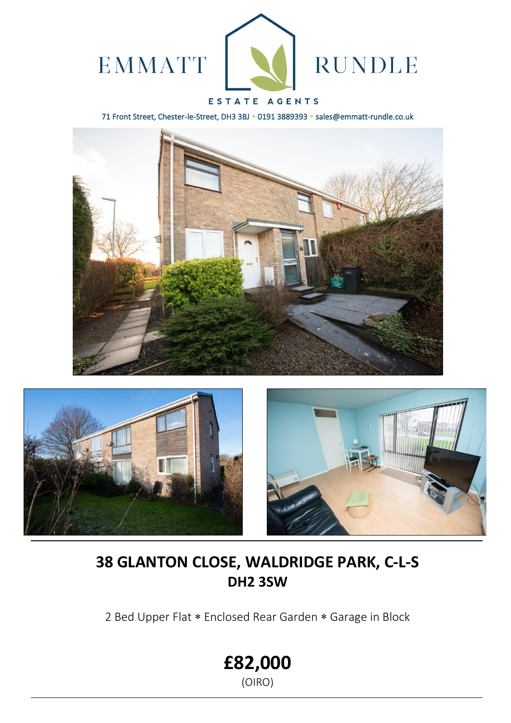

## ESTATE AGENTS

71 Front Street, Chester-le-Street, DH3 3BJ \* 0191 3889393 \* sales@emmatt-rundle.co.uk







# **38 GLANTON CLOSE, WALDRIDGE PARK, C-L-S DH2 3SW**

2 Bed Upper Flat \* Enclosed Rear Garden \* Garage in Block

**£82,000**

(OIRO)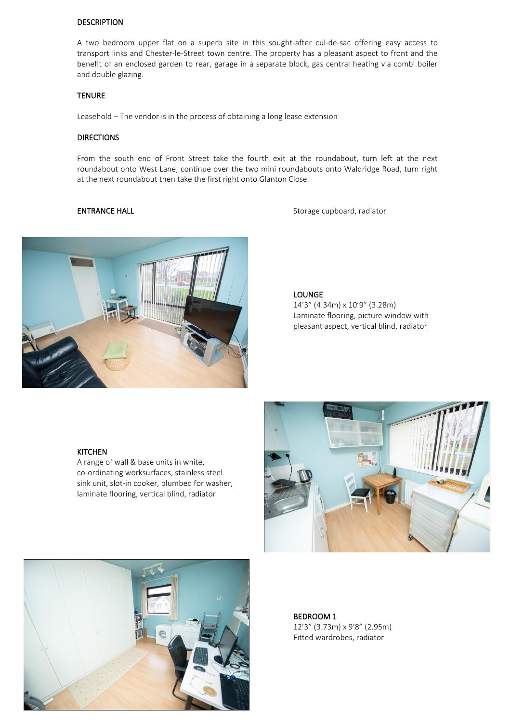#### DESCRIPTION

A two bedroom upper flat on a superb site in this sought-after cul-de-sac offering easy access to transport links and Chester-le-Street town centre. The property has a pleasant aspect to front and the benefit of an enclosed garden to rear, garage in a separate block, gas central heating via combi boiler and double glazing.

### TENURE

Leasehold – The vendor is in the process of obtaining a long lease extension

#### **DIRECTIONS**

From the south end of Front Street take the fourth exit at the roundabout, turn left at the next roundabout onto West Lane, continue over the two mini roundabouts onto Waldridge Road, turn right at the next roundabout then take the first right onto Glanton Close.

ENTRANCE HALL **ENTRANCE** HALL **Storage cupboard**, radiator



#### LOUNGE

14'3" (4.34m) x 10'9" (3.28m) Laminate flooring, picture window with pleasant aspect, vertical blind, radiator

#### KITCHEN

l

A range of wall & base units in white, co-ordinating worksurfaces, stainless steel sink unit, slot-in cooker, plumbed for washer, laminate flooring, vertical blind, radiator





BEDROOM 1 12'3" (3.73m) x 9'8" (2.95m) Fitted wardrobes, radiator